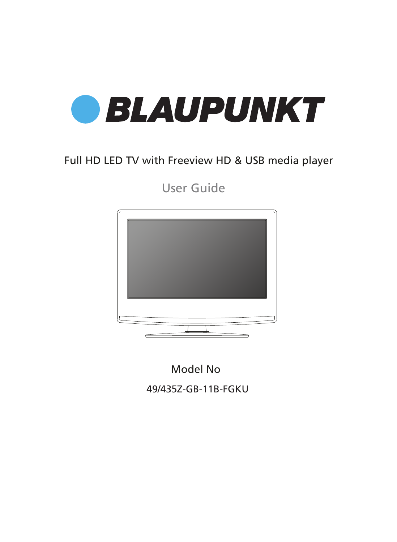

## Full HD LED TV with Freeview HD & USB media player

User Guide



Model No

49/435Z-GB-11B-FGKU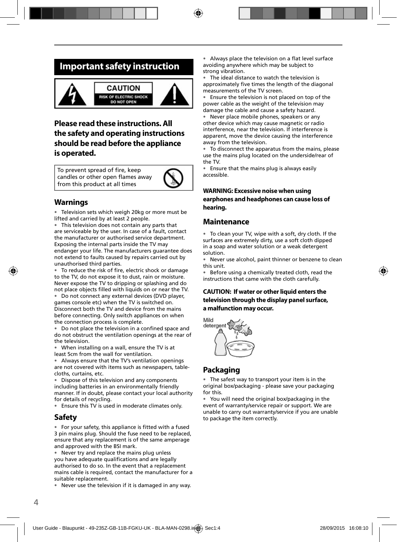### **Important safety instruction**



### **Please read these instructions. All the safety and operating instructions should be read before the appliance is operated.**

To prevent spread of fire, keep candles or other open flames away from this product at all times



### **Warnings**

• Television sets which weigh 20kg or more must be lifted and carried by at least 2 people.

• This television does not contain any parts that are serviceable by the user. In case of a fault, contact the manufacturer or authorised service department. Exposing the internal parts inside the TV may endanger your life. The manufacturers guarantee does not extend to faults caused by repairs carried out by unauthorised third parties.

To reduce the risk of fire, electric shock or damage to the TV, do not expose it to dust, rain or moisture. Never expose the TV to dripping or splashing and do not place objects filled with liquids on or near the TV.

• Do not connect any external devices (DVD player, games console etc) when the TV is switched on. Disconnect both the TV and device from the mains before connecting. Only switch appliances on when the connection process is complete.

Do not place the television in a confined space and do not obstruct the ventilation openings at the rear of the television.

• When installing on a wall, ensure the TV is at least 5cm from the wall for ventilation.

• Always ensure that the TV's ventilation openings are not covered with items such as newspapers, tablecloths, curtains, etc.

• Dispose of this television and any components including batteries in an environmentally friendly manner. If in doubt, please contact your local authority for details of recycling.

• Ensure this TV is used in moderate climates only.

#### **Safety**

• For your safety, this appliance is fitted with a fused 3 pin mains plug. Should the fuse need to be replaced, ensure that any replacement is of the same amperage and approved with the BSI mark.

• Never try and replace the mains plug unless you have adequate qualifications and are legally authorised to do so. In the event that a replacement mains cable is required, contact the manufacturer for a suitable replacement.

• Never use the television if it is damaged in any way.

• Always place the television on a flat level surface avoiding anywhere which may be subject to strong vibration.

The ideal distance to watch the television is approximately five times the length of the diagonal measurements of the TV screen.

• Ensure the television is not placed on top of the power cable as the weight of the television may damage the cable and cause a safety hazard.

• Never place mobile phones, speakers or any other device which may cause magnetic or radio interference, near the television. If interference is apparent, move the device causing the interference away from the television.

• To disconnect the apparatus from the mains, please use the mains plug located on the underside/rear of the TV.

• Ensure that the mains plug is always easily accessible.

#### **WARNING: Excessive noise when using earphones and headphones can cause loss of hearing.**

#### **Maintenance**

• To clean your TV, wipe with a soft, dry cloth. If the surfaces are extremely dirty, use a soft cloth dipped in a soap and water solution or a weak detergent solution.

• Never use alcohol, paint thinner or benzene to clean this unit.

• Before using a chemically treated cloth, read the instructions that came with the cloth carefully.

#### **CAUTION: If water or other liquid enters the television through the display panel surface, a malfunction may occur.**



### **Packaging**

• The safest way to transport your item is in the original box/packaging - please save your packaging for this.

• You will need the original box/packaging in the event of warranty/service repair or support. We are unable to carry out warranty/service if you are unable to package the item correctly.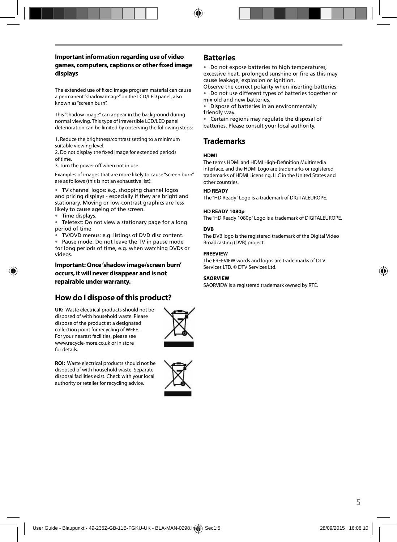#### **Important information regarding use of video games, computers, captions or other fi xed image displays**

The extended use of fixed image program material can cause a permanent "shadow image" on the LCD/LED panel, also known as "screen burn".

This "shadow image" can appear in the background during normal viewing. This type of irreversible LCD/LED panel deterioration can be limited by observing the following steps:

1. Reduce the brightness/contrast setting to a minimum suitable viewing level.

2. Do not display the fixed image for extended periods of time.

3. Turn the power off when not in use.

Examples of images that are more likely to cause "screen burn" are as follows (this is not an exhaustive list):

• TV channel logos: e.g. shopping channel logos and pricing displays - especially if they are bright and stationary. Moving or low-contrast graphics are less likely to cause ageing of the screen.

• Time displays.

• Teletext: Do not view a stationary page for a long period of time

• TV/DVD menus: e.g. listings of DVD disc content.

• Pause mode: Do not leave the TV in pause mode for long periods of time, e.g. when watching DVDs or videos.

**Important: Once 'shadow image/screen burn' occurs, it will never disappear and is not repairable under warranty.**

### **How do I dispose of this product?**

**UK:** Waste electrical products should not be disposed of with household waste. Please dispose of the product at a designated collection point for recycling of WEEE. For your nearest facilities, please see www.recycle-more.co.uk or in store for details.



**ROI:** Waste electrical products should not be disposed of with household waste. Separate disposal facilities exist. Check with your local authority or retailer for recycling advice.



#### **Batteries**

• Do not expose batteries to high temperatures, excessive heat, prolonged sunshine or fire as this may cause leakage, explosion or ignition.

Observe the correct polarity when inserting batteries. • Do not use different types of batteries together or mix old and new batteries.

• Dispose of batteries in an environmentally friendly way.

• Certain regions may regulate the disposal of batteries. Please consult your local authority.

### **Trademarks**

#### **HDMI**

The terms HDMI and HDMI High-Definition Multimedia Interface, and the HDMI Logo are trademarks or registered trademarks of HDMI Licensing, LLC in the United States and other countries.

#### **HD READY**

The "HD Ready" Logo is a trademark of DIGITALEUROPE.

#### **HD READY 1080p**

The "HD Ready 1080p" Logo is a trademark of DIGITALEUROPE.

#### **DVB**

The DVB logo is the registered trademark of the Digital Video Broadcasting (DVB) project.

#### **FREEVIEW**

The FREEVIEW words and logos are trade marks of DTV Services LTD. © DTV Services Ltd.

#### **SAORVIEW**

SAORVIEW is a registered trademark owned by RTÉ.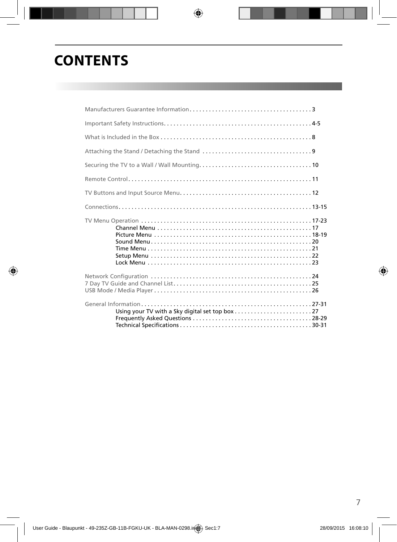# **CONTENTS**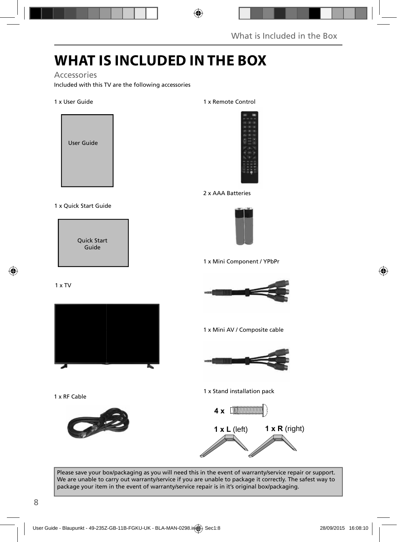## **WHAT IS INCLUDED IN THE BOX**

#### Accessories

Included with this TV are the following accessories

#### 1 x User Guide



#### 1 x Quick Start Guide

Quick Start Guide

#### 1 x TV



1 x RF Cable



#### 1 x Remote Control



#### 2 x AAA Batteries



1 x Mini Component / YPbPr



1 x Mini AV / Composite cable



1 x Stand installation pack



Please save your box/packaging as you will need this in the event of warranty/service repair or support. We are unable to carry out warranty/service if you are unable to package it correctly. The safest way to package your item in the event of warranty/service repair is in it's original box/packaging.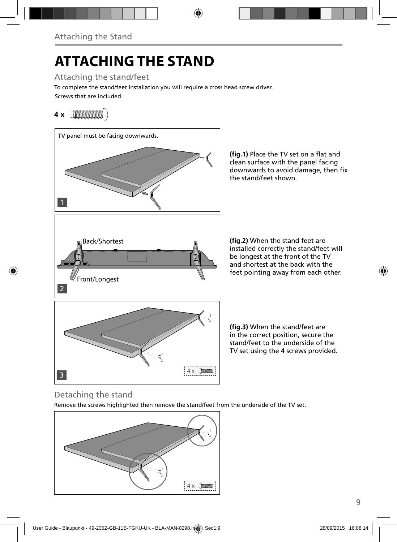# **ATTACHING THE STAND**

Attaching the stand/feet

Screws that are included. To complete the stand/feet installation you will require a cross head screw driver.

## **4 x** [**\\\\\\\\\\\\\\\\\\\\\\\\**\\\



(fig.1) Place the TV set on a flat and clean surface with the panel facing downwards to avoid damage, then fix the stand/feet shown.

**(fig.2)** When the stand feet are installed correctly the stand/feet will be longest at the front of the TV and shortest at the back with the feet pointing away from each other.

**(fig.3)** When the stand/feet are in the correct position, secure the stand/feet to the underside of the TV set using the 4 screws provided.

### Detaching the stand

Remove the screws highlighted then remove the stand/feet from the underside of the TV set.

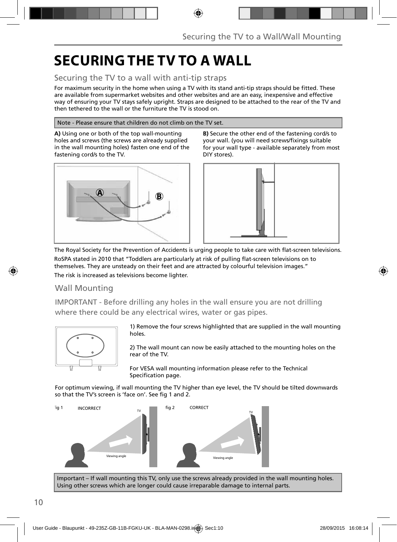## **SECURING THE TV TO A WALL**

### Securing the TV to a wall with anti-tip straps

For maximum security in the home when using a TV with its stand anti-tip straps should be fitted. These are available from supermarket websites and other websites and are an easy, inexpensive and effective way of ensuring your TV stays safely upright. Straps are designed to be attached to the rear of the TV and then tethered to the wall or the furniture the TV is stood on.

#### Note - Please ensure that children do not climb on the TV set.

**A)** Using one or both of the top wall-mounting holes and screws (the screws are already supplied in the wall mounting holes) fasten one end of the fastening cord/s to the TV.



**B)** Secure the other end of the fastening cord/s to your wall. (you will need screws/fixings suitable for your wall type - available separately from most DIY stores).



The Royal Society for the Prevention of Accidents is urging people to take care with flat-screen televisions. RoSPA stated in 2010 that "Toddlers are particularly at risk of pulling flat-screen televisions on to

themselves. They are unsteady on their feet and are attracted by colourful television images." The risk is increased as televisions become lighter.

### Wall Mounting

IMPORTANT - Before drilling any holes in the wall ensure you are not drilling where there could be any electrical wires, water or gas pipes.



1) Remove the four screws highlighted that are supplied in the wall mounting holes.

2) The wall mount can now be easily attached to the mounting holes on the rear of the TV.

For VESA wall mounting information please refer to the Technical Specification page.

For optimum viewing, if wall mounting the TV higher than eye level, the TV should be tilted downwards so that the TV's screen is 'face on'. See fig 1 and 2.



Important – If wall mounting this TV, only use the screws already provided in the wall mounting holes. Using other screws which are longer could cause irreparable damage to internal parts.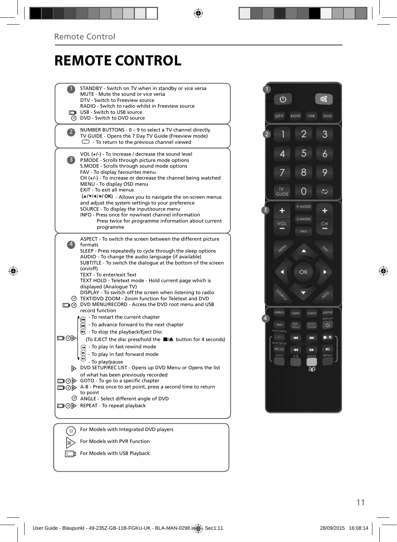## **REMOTE CONTROL**

|                   | STANDBY - Switch on TV when in standby or vice versa<br>MUTE - Mute the sound or vice versa<br>DTV - Switch to Freeview source<br>RADIO - Switch to radio whilst in Freeview source<br><b>The USB - Switch to USB source</b><br>O DVD - Switch to DVD source                                                                                                                                                                                                                                                                                                                                                                           |  |
|-------------------|----------------------------------------------------------------------------------------------------------------------------------------------------------------------------------------------------------------------------------------------------------------------------------------------------------------------------------------------------------------------------------------------------------------------------------------------------------------------------------------------------------------------------------------------------------------------------------------------------------------------------------------|--|
| 2                 | NUMBER BUTTONS - 0 - 9 to select a TV channel directly.<br>TV GUIDE - Opens the 7 Day TV Guide (Freeview mode)<br>$\mathbb{C}$ - To return to the previous channel viewed                                                                                                                                                                                                                                                                                                                                                                                                                                                              |  |
| 3)                | VOL (+/-) - To increase / decrease the sound level<br>P.MODE - Scrolls through picture mode options<br>S.MODE - Scrolls through sound mode options<br>FAV - To display favourites menu<br>$CH (+/-)$ - To increase or decrease the channel being watched<br>MENU - To display OSD menu<br><b>EXIT - To exit all menus</b><br>(A/V/4/M/OK) - Allows you to navigate the on-screen menus<br>and adjust the system settings to your preference<br>SOURCE - To display the input/source menu<br>INFO - Press once for now/next channel information<br>Press twice for programme information about current<br>programme                     |  |
| $\vert 4 \rangle$ | ASPECT - To switch the screen between the different picture<br>formats<br>SLEEP - Press repeatedly to cycle through the sleep options<br>AUDIO - To change the audio language (if available)<br>SUBTITLE - To switch the dialogue at the bottom of the screen<br>(on/off)<br>TEXT - To enter/exit Text<br>TEXT HOLD - Teletext mode - Hold current page which is<br>displayed (Analoque TV)<br>DISPLAY - To switch off the screen when listening to radio<br>TEXT/DVD ZOOM - Zoom function for Teletext and DVD<br>DVD MENU/RECORD - Access the DVD root menu and USB<br>record function                                               |  |
| ▭⊙▷               | - To restart the current chapter<br>To advance forward to the next chapter<br><b>B</b> - To stop the playback/Eject Disc<br>(To EJECT the disc press/hold the ■▲ button for 4 seconds)<br>$\left( \widehat{A} \right)$ - To play in fast rewind mode<br>- To play in fast forward mode<br>- To play/pause<br>DVD SETUP/REC LIST - Opens up DVD Menu or Opens the list<br>of what has been previously recorded<br>$\Box$ $\odot$ $\odot$ GOTO - To go to a specific chapter<br>A-B - Press once to set point, press a second time to return<br>to point<br>© ANGLE - Select different angle of DVD<br>□ ⊙ > REPEAT - To repeat playback |  |
|                   | For Models with Integrated DVD players                                                                                                                                                                                                                                                                                                                                                                                                                                                                                                                                                                                                 |  |
|                   | For Models with PVR Function                                                                                                                                                                                                                                                                                                                                                                                                                                                                                                                                                                                                           |  |



For Models with USB Playback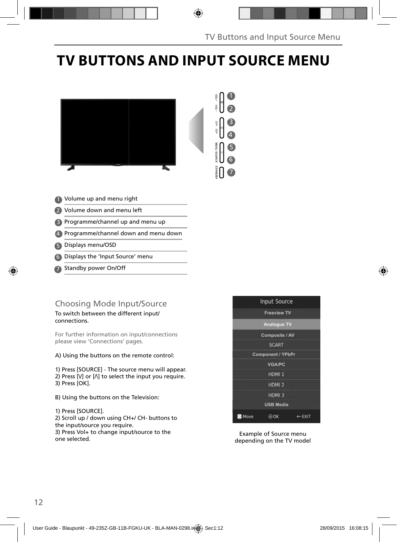# **TV BUTTONS AND INPUT SOURCE MENU**





- 1 Volume up and menu right
- 2 Volume down and menu left
- Programme/channel up and menu up 3
- Programme/channel down and menu down 4
- Displays menu/OSD 5
- Displays the 'Input Source' menu 6
- Standby power On/Off 7

### Choosing Mode Input/Source

To switch between the different input/ connections.

For further information on input/connections please view 'Connections' pages.

A) Using the buttons on the remote control:

1) Press [SOURCE] - The source menu will appear. 2) Press  $[V]$  or  $[\Lambda]$  to select the input you require. 3) Press [OK].

B) Using the buttons on the Television:

1) Press [SOURCE].

2) Scroll up / down using CH+/ CH- buttons to the input/source you require.

3) Press Vol+ to change input/source to the one selected.



Example of Source menu depending on the TV model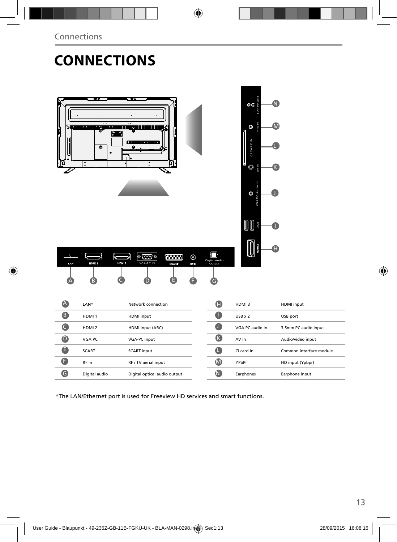## **CONNECTIONS**

| F<br>$\frac{1}{\sqrt{2}}$<br>LAN | $\sim$ . The set of $\sim$<br>o<br>ø<br>$\ddot{\phantom{0}}\phantom{0}\circ$<br>K<br>K<br>HDM 1<br>в | <u>rgiin memmirgan manaza</u><br>1000000000000000000000000<br>πт<br>$\overline{\phantom{0}}$<br>$\bullet$<br>•  •<br>(WWWW)<br>$^{\circ}$<br>HDM 2<br>VGA/PC IN<br><b>REIN</b><br><b>SCART</b> | Digital Audio<br>Output<br>G | $\frac{6}{6}$<br>$\Omega$<br>Y Pb Pr<br>M<br>$\circ$<br><b>CICARD IN</b><br>ı<br>$\circledcirc$<br>AV IN<br>ĸ<br>PC(Audio in)<br>$\circledcirc$<br><b>III</b><br>$\begin{matrix} 0 \end{matrix}$<br>A |                         |
|----------------------------------|------------------------------------------------------------------------------------------------------|------------------------------------------------------------------------------------------------------------------------------------------------------------------------------------------------|------------------------------|-------------------------------------------------------------------------------------------------------------------------------------------------------------------------------------------------------|-------------------------|
| A                                | LAN*                                                                                                 | Network connection                                                                                                                                                                             | $\boldsymbol{\Phi}$          | HDMI3                                                                                                                                                                                                 | <b>HDMI</b> input       |
| $\mathbf 6$                      | HDMI <sub>1</sub>                                                                                    | HDMI input                                                                                                                                                                                     | $\mathbf 0$                  | $USB \times 2$                                                                                                                                                                                        | USB port                |
| $\bullet$                        | HDMI <sub>2</sub>                                                                                    | HDMI input (ARC)                                                                                                                                                                               | $\mathbf 0$                  | VGA PC audio in                                                                                                                                                                                       | 3.5mm PC audio input    |
| $\bullet$                        | VGA PC                                                                                               | VGA-PC input                                                                                                                                                                                   | $\bullet$                    | AV in                                                                                                                                                                                                 | Audio/video input       |
| $\bullet$                        | <b>SCART</b>                                                                                         | <b>SCART</b> input                                                                                                                                                                             | $\bullet$                    | CI card in                                                                                                                                                                                            | Common interface module |
| $\bullet$                        | RF in                                                                                                | RF / TV aerial input                                                                                                                                                                           | $\bigcirc$                   | YPbPr                                                                                                                                                                                                 | HD input (Ypbpr)        |
| $\bullet$                        | Digital audio                                                                                        | Digital optical audio output                                                                                                                                                                   | $\bf \Phi$                   | Earphones                                                                                                                                                                                             | Earphone input          |

ī

\*The LAN/Ethernet port is used for Freeview HD services and smart functions.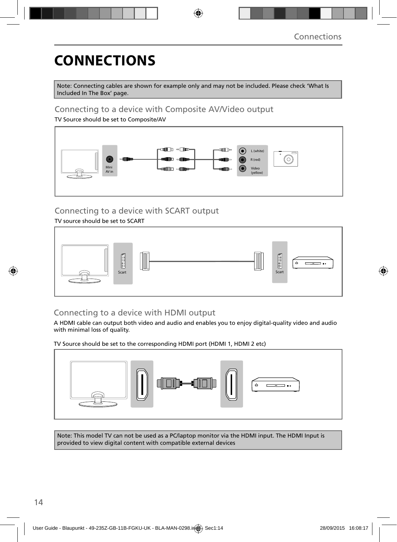# **CONNECTIONS**

Note: Connecting cables are shown for example only and may not be included. Please check 'What Is Included In The Box' page.

### Connecting to a device with Composite AV/Video output

TV Source should be set to Composite/AV



### Connecting to a device with SCART output

TV source should be set to SCART



### Connecting to a device with HDMI output

A HDMI cable can output both video and audio and enables you to enjoy digital-quality video and audio with minimal loss of quality.

TV Source should be set to the corresponding HDMI port (HDMI 1, HDMI 2 etc)



Note: This model TV can not be used as a PC/laptop monitor via the HDMI input. The HDMI Input is provided to view digital content with compatible external devices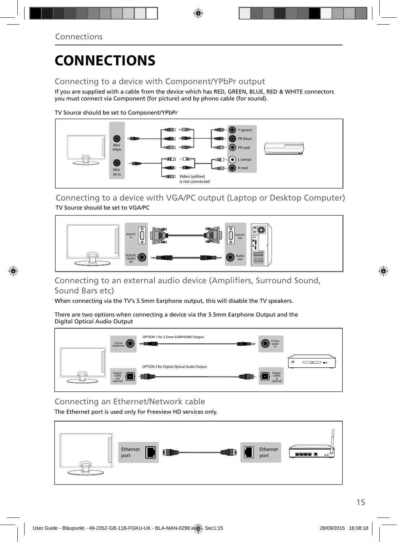# **CONNECTIONS**

### Connecting to a device with Component/YPbPr output

If you are supplied with a cable from the device which has RED, GREEN, BLUE, RED & WHITE connectors you must connect via Component (for picture) and by phono cable (for sound).

TV Source should be set to Component/YPbPr



Connecting to a device with VGA/PC output (Laptop or Desktop Computer) TV Source should be set to VGA/PC



### Connecting to an external audio device (Amplifiers, Surround Sound, Sound Bars etc)

When connecting via the TV's 3.5mm Earphone output, this will disable the TV speakers.

There are two options when connecting a device via the 3.5mm Earphone Output and the Digital Optical Audio Output



Connecting an Ethernet/Network cable

The Ethernet port is used only for Freeview HD services only.

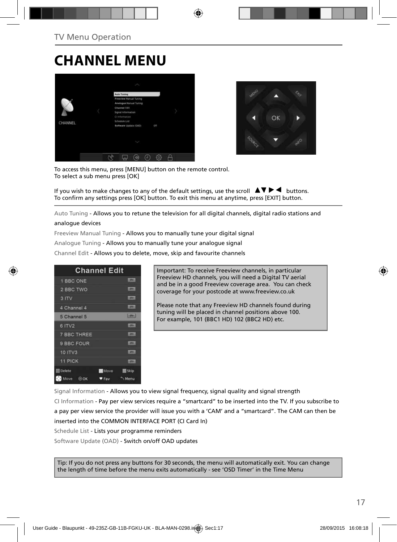## **CHANNEL MENU**





To access this menu, press [MENU] button on the remote control. To select a sub menu press [OK]

If you wish to make changes to any of the default settings, use the scroll  $\Box \blacktriangledown \blacktriangleright \blacktriangleleft$  buttons. To confirm any settings press [OK] button. To exit this menu at anytime, press [EXIT] button.

Auto Tuning - Allows you to retune the television for all digital channels, digital radio stations and

#### analogue devices

Freeview Manual Tuning - Allows you to manually tune your digital signal

Analogue Tuning - Allows you to manually tune your analogue signal

Channel Edit - Allows you to delete, move, skip and favourite channels

|                    | <b>Channel Edit</b>        |
|--------------------|----------------------------|
| 1 BBC ONE          | <b>LIBRARY</b>             |
| 2 BBC TWO          |                            |
| 3 ITV              | <b>DTET</b>                |
| 4 Channel 4        | <b>LOTAL</b>               |
| 5 Channel 5        | $5000 - 1$                 |
| 6 ITV2             | 10000                      |
| <b>7 BBC THREE</b> | <b>LOTH:</b>               |
| 9 BBC FOUR         | <b>DV</b>                  |
| 10 ITV3            | <b>COTWIL</b>              |
| 11 PICK            | <b>LOTAL</b>               |
| <b>Delete</b>      | <b>Move</b><br><b>Skip</b> |
| Move<br>$\odot$ OK | Menu<br>Fay                |

Important: To receive Freeview channels, in particular Freeview HD channels, you will need a Digital TV aerial and be in a good Freeview coverage area. You can check coverage for your postcode at www.freeview.co.uk

Please note that any Freeview HD channels found during tuning will be placed in channel positions above 100. For example, 101 (BBC1 HD) 102 (BBC2 HD) etc.

Signal Information - Allows you to view signal frequency, signal quality and signal strength CI Information - Pay per view services require a "smartcard" to be inserted into the TV. If you subscribe to a pay per view service the provider will issue you with a 'CAM' and a "smartcard". The CAM can then be inserted into the COMMON INTERFACE PORT (CI Card In) Schedule List - Lists your programme reminders

Software Update (OAD) - Switch on/off OAD updates

Tip: If you do not press any buttons for 30 seconds, the menu will automatically exit. You can change the length of time before the menu exits automatically - see 'OSD Timer' in the Time Menu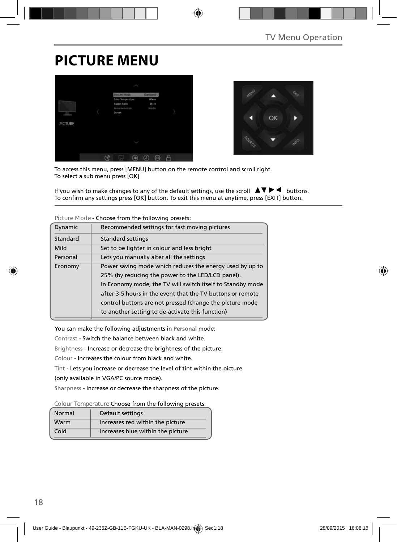## **PICTURE MENU**





To access this menu, press [MENU] button on the remote control and scroll right. To select a sub menu press [OK]

If you wish to make changes to any of the default settings, use the scroll  $\Box \blacktriangledown \blacktriangleright \blacktriangleleft$  buttons. To confirm any settings press [OK] button. To exit this menu at anytime, press [EXIT] button.

| Dynamic                                              | Recommended settings for fast moving pictures              |
|------------------------------------------------------|------------------------------------------------------------|
| Standard                                             | <b>Standard settings</b>                                   |
| Mild                                                 | Set to be lighter in colour and less bright                |
| Lets you manually alter all the settings<br>Personal |                                                            |
| Economy                                              | Power saving mode which reduces the energy used by up to   |
|                                                      | 25% (by reducing the power to the LED/LCD panel).          |
|                                                      | In Economy mode, the TV will switch itself to Standby mode |
|                                                      | after 3-5 hours in the event that the TV buttons or remote |
|                                                      | control buttons are not pressed (change the picture mode   |
|                                                      | to another setting to de-activate this function)           |

**Picture Mode** - Choose from the following presets:

You can make the following adjustments in **Personal** mode:

Contrast - Switch the balance between black and white.

Brightness - Increase or decrease the brightness of the picture.

Colour - Increases the colour from black and white.

Tint - Lets you increase or decrease the level of tint within the picture

(only available in VGA/PC source mode).

Sharpness - Increase or decrease the sharpness of the picture.

**Colour Temperature** Choose from the following presets:

| Normal | Default settings                  |
|--------|-----------------------------------|
| Warm   | Increases red within the picture  |
| Cold   | Increases blue within the picture |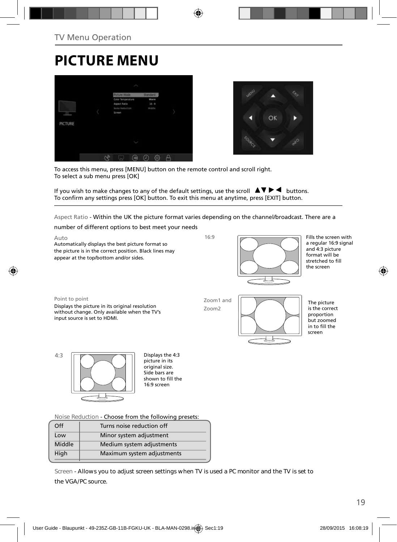# **PICTURE MENU**





To access this menu, press [MENU] button on the remote control and scroll right. To select a sub menu press [OK]

If you wish to make changes to any of the default settings, use the scroll  $\blacktriangle \blacktriangledown \blacktriangleright \blacktriangleleft$  buttons. To confirm any settings press [OK] button. To exit this menu at anytime, press [EXIT] button.

Aspect Ratio - Within the UK the picture format varies depending on the channel/broadcast. There are a

number of different options to best meet your needs

Auto Automatically displays the best picture format so the picture is in the correct position. Black lines may appear at the top/bottom and/or sides.

16:9



Fills the screen with a regular 16:9 signal and 4:3 picture format will be stretched to fill the screen

Point to point

Displays the picture in its original resolution without change. Only available when the TV's input source is set to HDMI.

Zoom1 and Zoom2



The picture is the correct proportion but zoomed in to fill the screen

4:3 **Displays the 4:3** 

picture in its .<br>original size. Side bars are shown to fill the 16:9 screen

**Noise Reduction** - Choose from the following presets:

| Off    | Turns noise reduction off  |  |
|--------|----------------------------|--|
| Low    | Minor system adjustment    |  |
| Middle | Medium system adjustments  |  |
| High   | Maximum system adjustments |  |
|        |                            |  |

**Screen - Allows you to adjust screen settings when TV is used a PC monitor and the TV is set to the VGA/PC source.**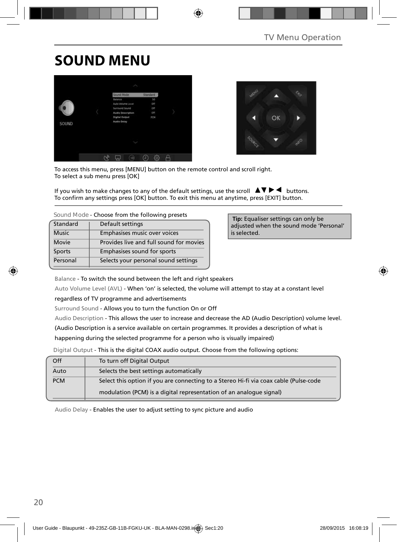## **SOUND MENU**





To access this menu, press [MENU] button on the remote control and scroll right. To select a sub menu press [OK]

If you wish to make changes to any of the default settings, use the scroll  $\blacktriangle \blacktriangledown \blacktriangleright \blacktriangleleft$  buttons. To confirm any settings press [OK] button. To exit this menu at anytime, press [EXIT] button.

**Sound Mode** - Choose from the following presets

| Standard     | Default settings                        |
|--------------|-----------------------------------------|
| <b>Music</b> | Emphasises music over voices            |
| Movie        | Provides live and full sound for movies |
| Sports       | Emphasises sound for sports             |
| Personal     | Selects your personal sound settings    |

 **Tip:** Equaliser settings can only be adjusted when the sound mode 'Personal' is selected.

Balance - To switch the sound between the left and right speakers

Auto Volume Level (AVL) - When 'on' is selected, the volume will attempt to stay at a constant level

regardless of TV programme and advertisements

Surround Sound - Allows you to turn the function On or Off

Audio Description - This allows the user to increase and decrease the AD (Audio Description) volume level.

(Audio Description is a service available on certain programmes. It provides a description of what is

happening during the selected programme for a person who is visually impaired)

Digital Output - This is the digital COAX audio output. Choose from the following options:

| Off        | To turn off Digital Output                                                            |
|------------|---------------------------------------------------------------------------------------|
| Auto       | Selects the best settings automatically                                               |
| <b>PCM</b> | Select this option if you are connecting to a Stereo Hi-fi via coax cable (Pulse-code |
|            | modulation (PCM) is a digital representation of an analogue signal)                   |

Audio Delay - Enables the user to adjust setting to sync picture and audio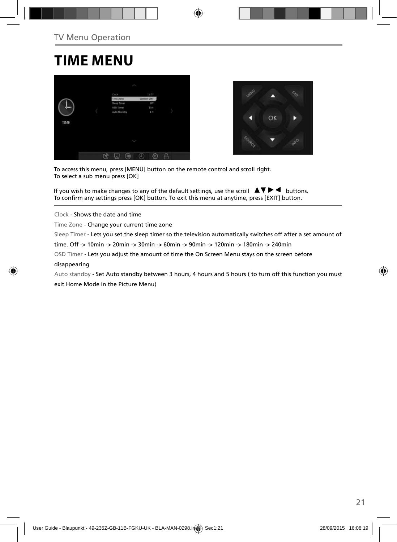## **TIME MENU**





To access this menu, press [MENU] button on the remote control and scroll right. To select a sub menu press [OK]

If you wish to make changes to any of the default settings, use the scroll  $\Box \blacktriangledown \blacktriangleright \blacktriangleleft$  buttons. To confirm any settings press [OK] button. To exit this menu at anytime, press [EXIT] button.

Clock - Shows the date and time

Time Zone - Change your current time zone

Sleep Timer - Lets you set the sleep timer so the television automatically switches off after a set amount of

time. Off -> 10min -> 20min -> 30min -> 60min -> 90min -> 120min -> 180min -> 240min

OSD Timer - Lets you adjust the amount of time the On Screen Menu stays on the screen before

#### disappearing

Auto standby - Set Auto standby between 3 hours, 4 hours and 5 hours ( to turn off this function you must exit Home Mode in the Picture Menu)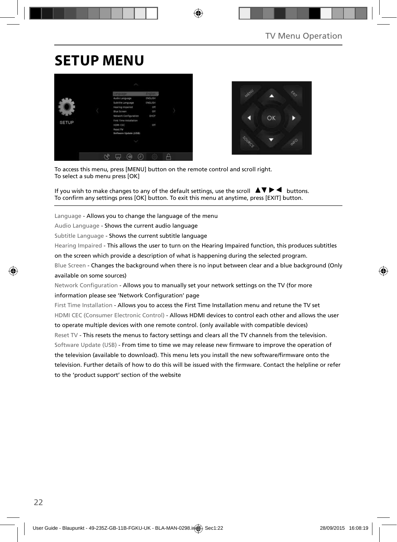## **SETUP MENU**





To access this menu, press [MENU] button on the remote control and scroll right. To select a sub menu press [OK]

If you wish to make changes to any of the default settings, use the scroll  $\Box \Box \blacktriangleright \blacktriangleleft$  buttons. To confirm any settings press [OK] button. To exit this menu at anytime, press [EXIT] button.

Language - Allows you to change the language of the menu

Audio Language - Shows the current audio language

Subtitle Language - Shows the current subtitle language

Hearing Impaired - This allows the user to turn on the Hearing Impaired function, this produces subtitles

on the screen which provide a description of what is happening during the selected program.

Blue Screen - Changes the background when there is no input between clear and a blue background (Only available on some sources)

Network Configuration - Allows you to manually set your network settings on the TV (for more information please see 'Network Configuration' page

First Time Installation - Allows you to access the First Time Installation menu and retune the TV set HDMI CEC (Consumer Electronic Control) - Allows HDMI devices to control each other and allows the user to operate multiple devices with one remote control. (only available with compatible devices) Reset TV - This resets the menus to factory settings and clears all the TV channels from the television. Software Update (USB) - From time to time we may release new firmware to improve the operation of the television (available to download). This menu lets you install the new software/firmware onto the television. Further details of how to do this will be issued with the firmware. Contact the helpline or refer to the 'product support' section of the website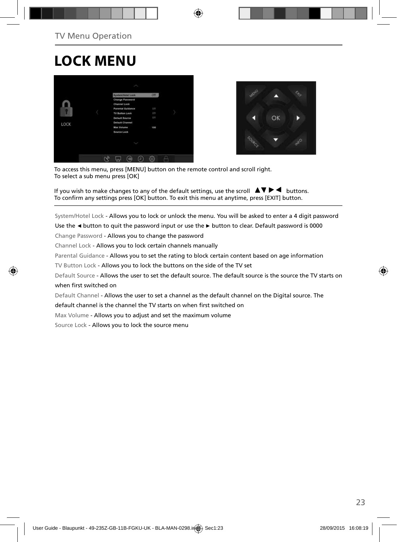## **LOCK MENU**





To access this menu, press [MENU] button on the remote control and scroll right. To select a sub menu press [OK]

If you wish to make changes to any of the default settings, use the scroll  $\Delta \nabla \blacktriangleright \blacktriangleleft$  buttons. To confirm any settings press [OK] button. To exit this menu at anytime, press [EXIT] button.

System/Hotel Lock - Allows you to lock or unlock the menu. You will be asked to enter a 4 digit password

Use the **◄** button to quit the password input or use the **►** button to clear. Default password is 0000

Change Password - Allows you to change the password

Channel Lock - Allows you to lock certain channels manually

Parental Guidance - Allows you to set the rating to block certain content based on age information

TV Button Lock - Allows you to lock the buttons on the side of the TV set

Default Source - Allows the user to set the default source. The default source is the source the TV starts on when first switched on

Default Channel - Allows the user to set a channel as the default channel on the Digital source. The

default channel is the channel the TV starts on when first switched on

Max Volume - Allows you to adjust and set the maximum volume

Source Lock - Allows you to lock the source menu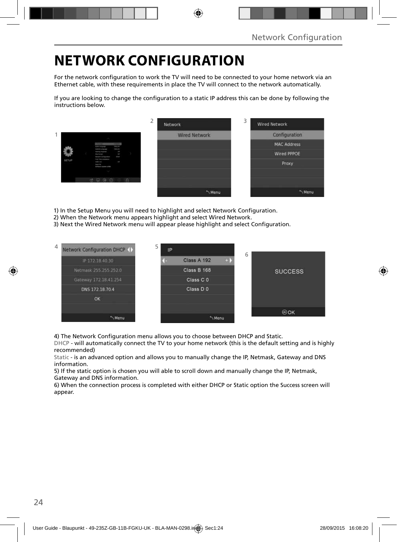## **NETWORK CONFIGURATION**

For the network configuration to work the TV will need to be connected to your home network via an Ethernet cable, with these requirements in place the TV will connect to the network automatically.

If you are looking to change the configuration to a static IP address this can be done by following the instructions below.

|       |                                                                                                                                               | ∠<br>Network         | 3<br><b>Wired Network</b> |
|-------|-----------------------------------------------------------------------------------------------------------------------------------------------|----------------------|---------------------------|
|       |                                                                                                                                               | <b>Wired Network</b> | Configuration             |
|       | <b>COLOR</b><br><b><i><u>Andre Component</u></i></b>                                                                                          |                      | <b>MAC Address</b>        |
|       | <b>SOLD</b><br><b>Extension Last governor</b><br>×<br><b>Heating Program</b><br><b>But formed</b><br>m.<br>mar.<br><b>Several Listapolism</b> |                      | <b>Wired PPPOE</b>        |
| SETUP | ling Strainwaren<br>ł<br><b>STATE OF</b><br><b>Senat Die</b><br>Sollared Learn (218)                                                          |                      | Proxy                     |
|       |                                                                                                                                               |                      |                           |
|       |                                                                                                                                               |                      |                           |
|       |                                                                                                                                               | Menu                 | "Menu                     |

1) In the Setup Menu you will need to highlight and select Network Configuration.

- 2) When the Network menu appears highlight and select Wired Network.
- 3) Next the Wired Network menu will appear please highlight and select Configuration.



4) The Network Configuration menu allows you to choose between DHCP and Static.

DHCP - will automatically connect the TV to your home network (this is the default setting and is highly recommended)

Static - is an advanced option and allows you to manually change the IP, Netmask, Gateway and DNS information.

5) If the static option is chosen you will able to scroll down and manually change the IP, Netmask, Gateway and DNS information.

6) When the connection process is completed with either DHCP or Static option the Success screen will appear.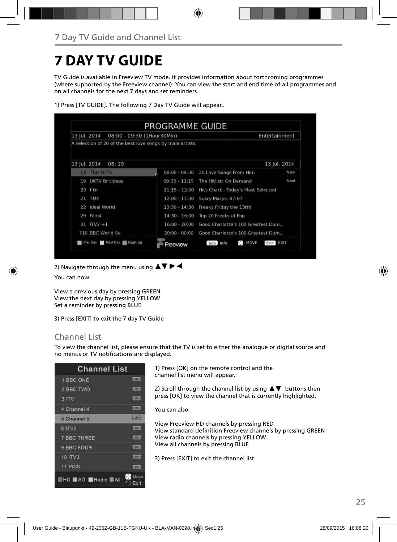## **7 DAY TV GUIDE**

TV Guide is available in Freeview TV mode. It provides information about forthcoming programmes (where supported by the Freeview channel). You can view the start and end time of all programmes and on all channels for the next 7 days and set reminders.

| 13 Iul. 2014<br>08:00 - 09:30 (1Hour30Min)                |                 |                                                           | Entertainment    |
|-----------------------------------------------------------|-----------------|-----------------------------------------------------------|------------------|
| A selection of 20 of the best love songs by male artists. |                 |                                                           |                  |
| 13 Jul. 2014<br>08:19                                     |                 |                                                           | 13 Jul. 2014     |
| 18 The HITS                                               | $08:00 - 09:30$ | 20 Love Songs From Him                                    | Now              |
| UKTV Britideas<br>19                                      | $09:30 - 11:15$ | The Hitlist: On Demand                                    | Next             |
| $20$ ftn                                                  | $11:15 - 12:00$ | Hits Chart - Today's Most Selected                        |                  |
| <b>TMF</b><br>21                                          | $12:00 - 13:30$ | Scary Marys: 87-07                                        |                  |
| Ideal World<br>22                                         | $13:30 - 14:30$ | Freaky Friday the 13th!                                   |                  |
| Film4<br>29                                               | $14:30 - 16:00$ | Top 20 Freaks of Pop                                      |                  |
| $31$ ITV2 +1                                              | $16:00 - 20:00$ | Good Charlotte's 100 Greatest Dum                         |                  |
| 710 BBC World Sv.                                         | $20:00 - 00:00$ | Good Charlotte's 100 Greatest Dum                         |                  |
| Pre. Day Next Day <b>1 Remind</b>                         | Freeview        | $\mathbf{a}^{\mathsf{T},\mathsf{p}}$<br>MOVE<br>Info Info | Exit <b>BXII</b> |

1) Press [TV GUIDE]. The following 7 Day TV Guide will appear..

2) Navigate through the menu using  $\blacktriangle \blacktriangledown \blacktriangleright \blacktriangleleft$ .

You can now:

View a previous day by pressing GREEN View the next day by pressing YELLOW Set a reminder by pressing BLUE

3) Press [EXIT] to exit the 7 day TV Guide

### Channel List

To view the channel list, please ensure that the TV is set to either the analogue or digital source and no menus or TV notifications are displayed.

| <b>Channel List</b>      |                                 |
|--------------------------|---------------------------------|
| 1 BBC ONE                | <b>LODGE</b>                    |
| 2 BBC TWO                | <b>LOTAL</b>                    |
| 3 ITV                    | <b>LETTA:</b>                   |
| 4 Channel 4              | $-107$ V                        |
| 5 Channel 5              | <b>Hanks</b>                    |
| 6 ITV2                   | <b>ISTAN</b>                    |
| <b>7 BBC THREE</b>       | <b>CENT</b>                     |
| 9 BBC FOUR               | œ                               |
| <b>10 ITV3</b>           | m                               |
| 11 PICK                  | m                               |
| <b>EHD SD Radio MAII</b> | $\cdot$ $\cdot$<br>Move<br>Exit |

1) Press [OK] on the remote control and the channel list menu will appear.

2) Scroll through the channel list by using  $\blacktriangle \blacktriangledown$  buttons then press [OK] to view the channel that is currently highlighted.

You can also:

View Freeview HD channels by pressing RED View standard definition Freeview channels by pressing GREEN View radio channels by pressing YELLOW View all channels by pressing BLUE

3) Press [EXIT] to exit the channel list.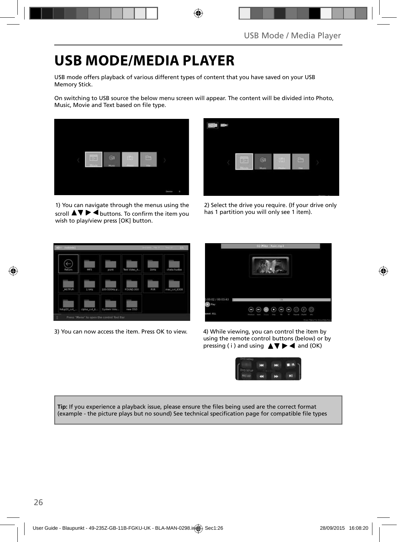## **USB MODE/MEDIA PLAYER**

USB mode offers playback of various different types of content that you have saved on your USB Memory Stick.

On switching to USB source the below menu screen will appear. The content will be divided into Photo, Music, Movie and Text based on file type.



1) You can navigate through the menus using the scroll  $\blacktriangle \blacktriangledown \blacktriangleright \blacktriangleleft$  buttons. To confirm the item you wish to play/view press [OK] button.



2) Select the drive you require. (If your drive only has 1 partition you will only see 1 item).



3) You can now access the item. Press OK to view. 4) While viewing, you can control the item by



using the remote control buttons (below) or by pressing ( i ) and using  $\triangle \blacktriangledown \blacktriangleright \blacktriangleleft$  and (OK)



Tip: If you experience a playback issue, please ensure the files being used are the correct format (example - the picture plays but no sound) See technical specification page for compatible file types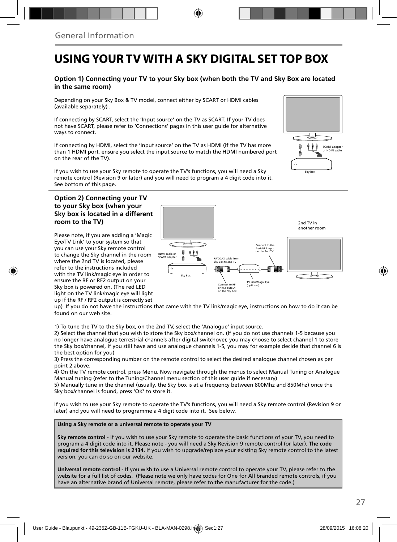## **USING YOUR TV WITH A SKY DIGITAL SET TOP BOX**

#### **Option 1) Connecting your TV to your Sky box (when both the TV and Sky Box are located in the same room)**

Depending on your Sky Box & TV model, connect either by SCART or HDMI cables (available separately) .

If connecting by SCART, select the 'Input source' on the TV as SCART. If your TV does not have SCART, please refer to 'Connections' pages in this user guide for alternative ways to connect.

If connecting by HDMI, select the 'Input source' on the TV as HDMI (if the TV has more than 1 HDMI port, ensure you select the input source to match the HDMI numbered port on the rear of the TV).

If you wish to use your Sky remote to operate the TV's functions, you will need a Sky remote control (Revision 9 or later) and you will need to program a 4 digit code into it. See bottom of this page.

#### **Option 2) Connecting your TV to your Sky box (when your Sky box is located in a different room to the TV)**

Please note, if you are adding a 'Magic Eye/TV Link' to your system so that you can use your Sky remote control to change the Sky channel in the room where the 2nd TV is located, please refer to the instructions included with the TV link/magic eye in order to ensure the RF or RF2 output on your Sky box is powered on. (The red LED light on the TV link/magic eye will light up if the RF / RF2 output is correctly set



up) If you do not have the instructions that came with the TV link/magic eye, instructions on how to do it can be found on our web site.

1) To tune the TV to the Sky box, on the 2nd TV, select the 'Analogue' input source.

2) Select the channel that you wish to store the Sky box/channel on. (If you do not use channels 1-5 because you no longer have analogue terrestrial channels after digital switchover, you may choose to select channel 1 to store the Sky box/channel, if you still have and use analogue channels 1-5, you may for example decide that channel 6 is the best option for you)

3) Press the corresponding number on the remote control to select the desired analogue channel chosen as per point 2 above.

4) On the TV remote control, press Menu. Now navigate through the menus to select Manual Tuning or Analogue Manual tuning (refer to the Tuning/Channel menu section of this user guide if necessary)

5) Manually tune in the channel (usually, the Sky box is at a frequency between 800Mhz and 850Mhz) once the Sky box/channel is found, press 'OK' to store it.

If you wish to use your Sky remote to operate the TV's functions, you will need a Sky remote control (Revision 9 or later) and you will need to programme a 4 digit code into it. See below.

**Using a Sky remote or a universal remote to operate your TV** 

**Sky remote control** - If you wish to use your Sky remote to operate the basic functions of your TV, you need to program a 4 digit code into it. Please note - you will need a Sky Revision 9 remote control (or later). **The code required for this television is 2134.** If you wish to upgrade/replace your existing Sky remote control to the latest version, you can do so on our website.

**Universal remote control** - If you wish to use a Universal remote control to operate your TV, please refer to the website for a full list of codes. (Please note we only have codes for One for All branded remote controls, if you have an alternative brand of Universal remote, please refer to the manufacturer for the code.)

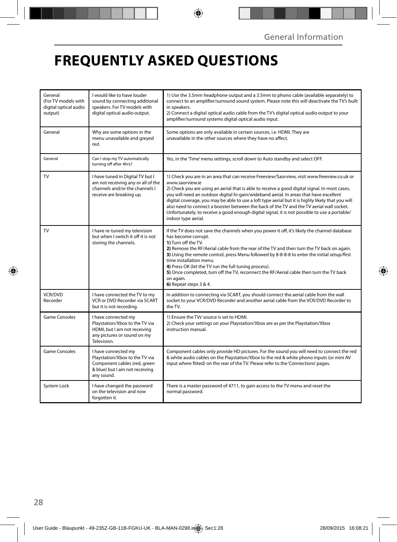## **FREQUENTLY ASKED QUESTIONS**

| General<br>(For TV models with<br>digital optical audio<br>output) | I would like to have louder<br>sound by connecting additional<br>speakers. For TV models with<br>digital optical audio output.        | 1) Use the 3.5mm headphone output and a 3.5mm to phono cable (available separately) to<br>connect to an amplifier/surround sound system. Please note this will deactivate the TV's built<br>in speakers.<br>2) Connect a digital optical audio cable from the TV's digital optical audio output to your<br>amplifier/surround systems digital optical audio input.                                                                                                                                                                                                                                                                  |  |
|--------------------------------------------------------------------|---------------------------------------------------------------------------------------------------------------------------------------|-------------------------------------------------------------------------------------------------------------------------------------------------------------------------------------------------------------------------------------------------------------------------------------------------------------------------------------------------------------------------------------------------------------------------------------------------------------------------------------------------------------------------------------------------------------------------------------------------------------------------------------|--|
| General                                                            | Why are some options in the<br>menu unavailable and greyed<br>out.                                                                    | Some options are only available in certain sources, i.e. HDMI. They are<br>unavailable in the other sources where they have no affect.                                                                                                                                                                                                                                                                                                                                                                                                                                                                                              |  |
| General                                                            | Can I stop my TV automatically<br>turning off after 4hrs?                                                                             | Yes, in the 'Time' menu settings, scroll down to Auto standby and select OFF.                                                                                                                                                                                                                                                                                                                                                                                                                                                                                                                                                       |  |
| <b>TV</b>                                                          | I have tuned in Digital TV but I<br>am not receiving any or all of the<br>channels and/or the channels I<br>receive are breaking up.  | 1) Check you are in an area that can receive Freeview/Saorview, visit www.freeview.co.uk or<br>www.saorview.ie<br>2) Check you are using an aerial that is able to receive a good digital signal. In most cases,<br>you will need an outdoor digital hi-gain/wideband aerial. In areas that have excellent<br>digital coverage, you may be able to use a loft type aerial but it is highly likely that you will<br>also need to connect a booster between the back of the TV and the TV aerial wall socket.<br>Unfortunately, to receive a good enough digital signal, it is not possible to use a portable/<br>indoor type aerial. |  |
| TV                                                                 | I have re-tuned my television<br>but when I switch it off it is not<br>storing the channels.                                          | If the TV does not save the channels when you power it off, it's likely the channel database<br>has become corrupt.<br>1) Turn off the TV.<br>2) Remove the RF/Aerial cable from the rear of the TV and then turn the TV back on again.<br>3) Using the remote control, press Menu followed by 8-8-8-8 to enter the initial setup/first<br>time installation menu.<br>4) Press OK (let the TV run the full tuning process).<br>5) Once completed, turn off the TV, reconnect the RF/Aerial cable then turn the TV back<br>on again.<br>6) Repeat steps 3 & 4.                                                                       |  |
| <b>VCR/DVD</b><br>Recorder                                         | I have connected the TV to my<br>VCR or DVD Recorder via SCART<br>but it is not recording.                                            | In addition to connecting via SCART, you should connect the aerial cable from the wall<br>socket to your VCR/DVD Recorder and another aerial cable from the VCR/DVD Recorder to<br>the TV.                                                                                                                                                                                                                                                                                                                                                                                                                                          |  |
| <b>Game Consoles</b>                                               | I have connected my<br>Playstation/Xbox to the TV via<br>HDMI, but I am not receiving<br>any pictures or sound on my<br>Television.   | 1) Ensure the TVs' source is set to HDMI.<br>2) Check your settings on your Playstation/Xbox are as per the Playstation/Xbox<br>instruction manual.                                                                                                                                                                                                                                                                                                                                                                                                                                                                                 |  |
| <b>Game Consoles</b>                                               | I have connected my<br>Playstation/Xbox to the TV via<br>Component cables (red, green<br>& blue) but I am not receiving<br>any sound. | Component cables only provide HD pictures. For the sound you will need to connect the red<br>& white audio cables on the Playstation/Xbox to the red & white phono inputs (or mini AV<br>input where fitted) on the rear of the TV. Please refer to the 'Connections' pages.                                                                                                                                                                                                                                                                                                                                                        |  |
| System Lock                                                        | I have changed the password<br>on the television and now<br>forgotten it.                                                             | There is a master password of 4711, to gain access to the TV menu and reset the<br>normal password.                                                                                                                                                                                                                                                                                                                                                                                                                                                                                                                                 |  |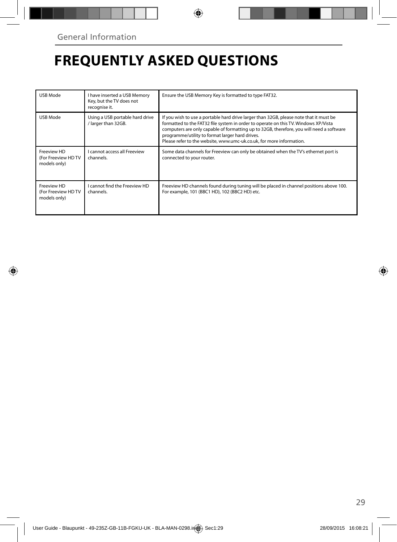## **FREQUENTLY ASKED QUESTIONS**

| USB Mode                                          | I have inserted a USB Memory<br>Key, but the TV does not<br>recognise it. | Ensure the USB Memory Key is formatted to type FAT32.                                                                                                                                                                                                                                                                                                                                                |
|---------------------------------------------------|---------------------------------------------------------------------------|------------------------------------------------------------------------------------------------------------------------------------------------------------------------------------------------------------------------------------------------------------------------------------------------------------------------------------------------------------------------------------------------------|
| USB Mode                                          | Using a USB portable hard drive<br>/ larger than 32GB.                    | If you wish to use a portable hard drive larger than 32GB, please note that it must be<br>formatted to the FAT32 file system in order to operate on this TV. Windows XP/Vista<br>computers are only capable of formatting up to 32GB, therefore, you will need a software<br>programme/utility to format larger hard drives.<br>Please refer to the website, www.umc-uk.co.uk, for more information. |
| Freeview HD<br>(For Freeview HDTV<br>models only) | <b>Lcannot access all Freeview</b><br>channels.                           | Some data channels for Freeview can only be obtained when the TV's ethernet port is<br>connected to your router.                                                                                                                                                                                                                                                                                     |
| Freeview HD<br>(For Freeview HDTV<br>models only) | I cannot find the Freeview HD<br>channels.                                | Freeview HD channels found during tuning will be placed in channel positions above 100.<br>For example, 101 (BBC1 HD), 102 (BBC2 HD) etc.                                                                                                                                                                                                                                                            |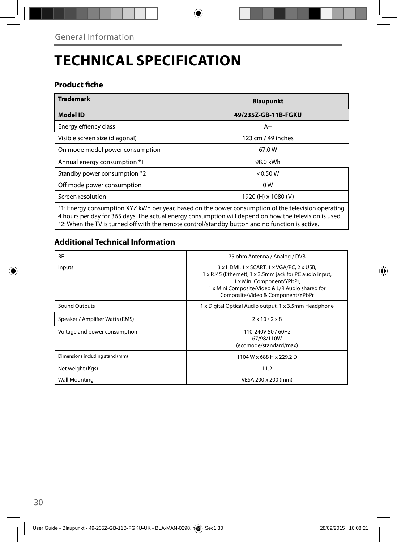# **TECHNICAL SPECIFICATION**

### **Product fiche**

| <b>Trademark</b>                                                                                    | <b>Blaupunkt</b>    |  |  |
|-----------------------------------------------------------------------------------------------------|---------------------|--|--|
| <b>Model ID</b>                                                                                     | 49/235Z-GB-11B-FGKU |  |  |
| Energy effiency class                                                                               | $A+$                |  |  |
| Visible screen size (diagonal)                                                                      | 123 cm / 49 inches  |  |  |
| On mode model power consumption                                                                     | 67.0W               |  |  |
| Annual energy consumption *1                                                                        | 98.0 kWh            |  |  |
| Standby power consumption *2                                                                        | < 0.50 W            |  |  |
| Off mode power consumption                                                                          | 0 <sub>W</sub>      |  |  |
| Screen resolution                                                                                   | 1920 (H) x 1080 (V) |  |  |
| *1: Energy consumption XYZ kWh per year, based on the power consumption of the television operating |                     |  |  |

\*1: Energy consumption XYZ kWh per year, based on the power consumption of the television operating 4 hours per day for 365 days. The actual energy consumption will depend on how the television is used. \*2: When the TV is turned off with the remote control/standby button and no function is active.

### **Additional Technical Information**

| <b>RF</b>                       | 75 ohm Antenna / Analog / DVB                                                                                                                                                                                             |  |  |
|---------------------------------|---------------------------------------------------------------------------------------------------------------------------------------------------------------------------------------------------------------------------|--|--|
| Inputs                          | 3 x HDMI, 1 x SCART, 1 x VGA/PC, 2 x USB,<br>1 x RJ45 (Ethernet), 1 x 3.5mm jack for PC audio input,<br>1 x Mini Component/YPbPr,<br>1 x Mini Composite/Video & L/R Audio shared for<br>Composite/Video & Component/YPbPr |  |  |
| Sound Outputs                   | 1 x Digital Optical Audio output, 1 x 3.5mm Headphone                                                                                                                                                                     |  |  |
| Speaker / Amplifier Watts (RMS) | $2 \times 10 / 2 \times 8$                                                                                                                                                                                                |  |  |
| Voltage and power consumption   | 110-240V 50 / 60Hz<br>67/98/110W<br>(ecomode/standard/max)                                                                                                                                                                |  |  |
| Dimensions including stand (mm) | 1104 W x 688 H x 229.2 D                                                                                                                                                                                                  |  |  |
| Net weight (Kgs)                | 11.2                                                                                                                                                                                                                      |  |  |
| <b>Wall Mounting</b>            | VESA 200 x 200 (mm)                                                                                                                                                                                                       |  |  |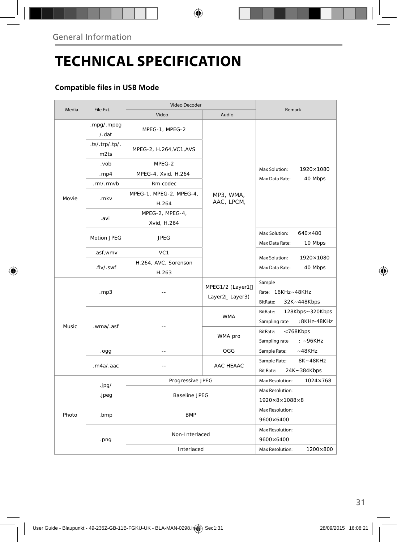# **TECHNICAL SPECIFICATION**

### **Compatible files in USB Mode**

| Media  |                        | Video Decoder                    |                                   |                                                              |
|--------|------------------------|----------------------------------|-----------------------------------|--------------------------------------------------------------|
|        | File Ext.              | Video                            | Audio                             | Remark                                                       |
|        | .mpg/.mpeg<br>/ . dat  | MPEG-1, MPEG-2                   |                                   | Max Solution:<br>1920×1080<br>Max Data Rate:<br>40 Mbps      |
|        | .ts/.trp/.tp/.<br>m2ts | MPEG-2, H.264, VC1, AVS          |                                   |                                                              |
|        | .vob                   | MPEG-2                           |                                   |                                                              |
|        | . $mp4$                | MPEG-4, Xvid, H.264              |                                   |                                                              |
|        | .rm/.rmvb              | Rm codec                         |                                   |                                                              |
| Movie  | .mkv                   | MPEG-1, MPEG-2, MPEG-4,<br>H.264 | MP3, WMA,<br>AAC, LPCM,           |                                                              |
|        | .avi                   | MPEG-2, MPEG-4,<br>Xvid, H.264   |                                   |                                                              |
|        | Motion JPEG            | <b>JPEG</b>                      |                                   | Max Solution:<br>$640\times480$<br>Max Data Rate:<br>10 Mbps |
|        | .asf,wmv               | VC <sub>1</sub>                  |                                   |                                                              |
|        | .flv/.swf              | H.264, AVC, Sorenson<br>H.263    |                                   | Max Solution:<br>1920×1080<br>Max Data Rate:<br>40 Mbps      |
| Music. | .mp3                   |                                  | MPEG1/2 (Layer1<br>Layer2 Layer3) | Sample<br>Rate: 16KHz~48KHz<br>BitRate:<br>32K~448Kbps       |
|        | .wma/.asf              |                                  | <b>WMA</b>                        | BitRate:<br>128Kbps~320Kbps<br>:8KHz-48KHz<br>Sampling rate  |
|        |                        |                                  | WMA pro                           | BitRate:<br><768Kbps<br>Sampling rate<br>$: -96KHz$          |
|        | .ogg                   | $\sim$                           | OGG                               | Sample Rate:<br>$-48KHz$                                     |
|        | maa/aac                |                                  | AAC HFAAC                         | 8K~48KHz<br>Sample Rate:<br><b>Bit Rate:</b><br>24K~384Kbps  |
|        |                        | Progressive JPEG                 |                                   | $1024 \times 768$<br>Max Resolution:                         |
|        | .jpg/<br>.jpeg         | <b>Baseline JPEG</b>             |                                   | Max Resolution:                                              |
| Photo  |                        |                                  |                                   | $1920\times8\times1088\times8$                               |
|        | .bmp                   | <b>BMP</b>                       |                                   | Max Resolution:<br>9600×6400                                 |
|        | .png                   | Non-Interlaced                   |                                   | Max Resolution:<br>9600×6400                                 |
|        |                        | Interlaced                       |                                   | Max Resolution:<br>1200×800                                  |